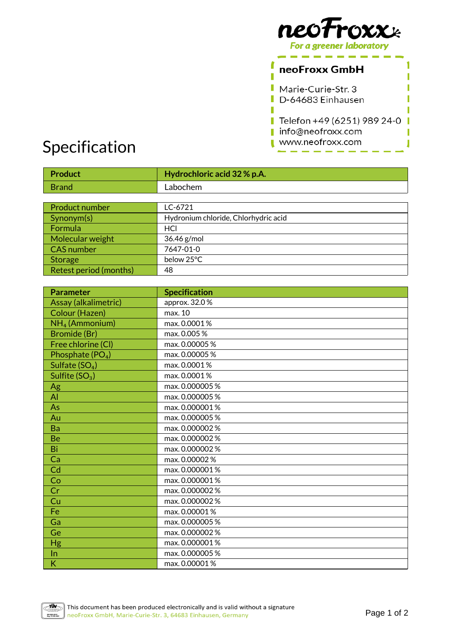

1

T

Г

Π

J

## neoFroxx GmbH

Г

Π

L Marie-Curie-Str. 3 П D-64683 Einhausen

Telefon +49 (6251) 989 24-0 I info@neofroxx.com

#### www.neofroxx.com П

# Specification

| <b>Product</b>                | Hydrochloric acid 32 % p.A.          |
|-------------------------------|--------------------------------------|
| <b>Brand</b>                  | Labochem                             |
|                               |                                      |
| Product number                | LC-6721                              |
| Synonym(s)                    | Hydronium chloride, Chlorhydric acid |
| Formula                       | HCI                                  |
| Molecular weight              | 36.46 g/mol                          |
| <b>CAS</b> number             | 7647-01-0                            |
| <b>Storage</b>                | below 25°C                           |
| <b>Retest period (months)</b> | 48                                   |
|                               |                                      |
| <b>Parameter</b>              | <b>Specification</b>                 |
| Assay (alkalimetric)          | approx. 32.0%                        |
| Colour (Hazen)                | max. 10                              |
| $NH4$ (Ammonium)              | max. 0.0001%                         |
| <b>Bromide</b> (Br)           | max. 0.005%                          |
| Free chlorine (CI)            | max. 0.00005 %                       |
| Phosphate (PO <sub>4</sub> )  | max. 0.00005 %                       |
| Sulfate $(SO4)$               | max. 0.0001%                         |
| Sulfite $(SO_3)$              | max. 0.0001%                         |
| Ag                            | max. 0.000005%                       |
| AI                            | max. 0.000005 %                      |
| As                            | max. 0.000001%                       |
| Au                            | max. 0.000005 %                      |
| Ba                            | max. 0.000002%                       |
| Be                            | max. 0.000002%                       |
| Bi                            | max. 0.000002%                       |
| Ca                            | max. 0.00002%                        |
| Cd                            | max. 0.000001%                       |
| Co                            | max. 0.000001%                       |
| Cr                            | max. 0.000002%                       |
| Cu                            | max. 0.000002%                       |
| Fe                            | max. 0.00001%                        |
| Ga                            | max. 0.000005%                       |
| Ge                            | max. 0.000002%                       |
| Hg                            | max. 0.000001%                       |
| In                            | max. 0.000005 %                      |
| K                             | max. 0.00001%                        |